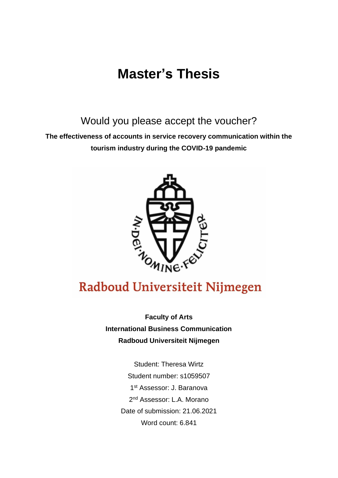# **Master's Thesis**

# Would you please accept the voucher?

**The effectiveness of accounts in service recovery communication within the tourism industry during the COVID-19 pandemic** 



# Radboud Universiteit Nijmegen

**Faculty of Arts International Business Communication Radboud Universiteit Nijmegen**

> Student: Theresa Wirtz Student number: s1059507 1 st Assessor: J. Baranova 2<sup>nd</sup> Assessor: L.A. Morano Date of submission: 21.06.2021 Word count: 6.841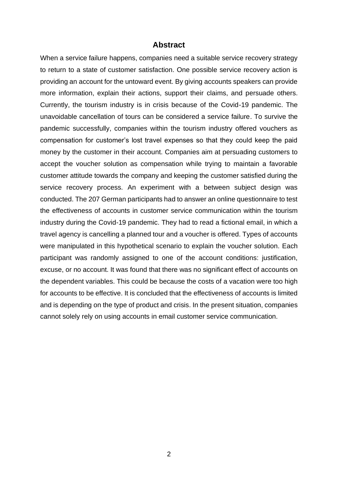#### **Abstract**

When a service failure happens, companies need a suitable service recovery strategy to return to a state of customer satisfaction. One possible service recovery action is providing an account for the untoward event. By giving accounts speakers can provide more information, explain their actions, support their claims, and persuade others. Currently, the tourism industry is in crisis because of the Covid-19 pandemic. The unavoidable cancellation of tours can be considered a service failure. To survive the pandemic successfully, companies within the tourism industry offered vouchers as compensation for customer's lost travel expenses so that they could keep the paid money by the customer in their account. Companies aim at persuading customers to accept the voucher solution as compensation while trying to maintain a favorable customer attitude towards the company and keeping the customer satisfied during the service recovery process. An experiment with a between subject design was conducted. The 207 German participants had to answer an online questionnaire to test the effectiveness of accounts in customer service communication within the tourism industry during the Covid-19 pandemic. They had to read a fictional email, in which a travel agency is cancelling a planned tour and a voucher is offered. Types of accounts were manipulated in this hypothetical scenario to explain the voucher solution. Each participant was randomly assigned to one of the account conditions: justification, excuse, or no account. It was found that there was no significant effect of accounts on the dependent variables. This could be because the costs of a vacation were too high for accounts to be effective. It is concluded that the effectiveness of accounts is limited and is depending on the type of product and crisis. In the present situation, companies cannot solely rely on using accounts in email customer service communication.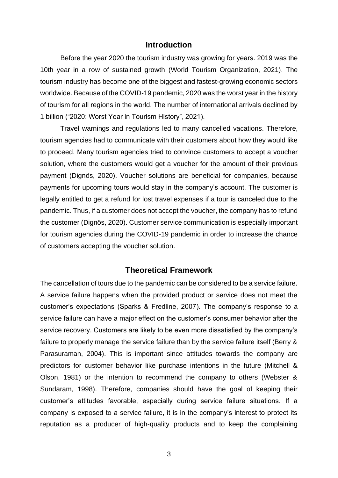#### **Introduction**

Before the year 2020 the tourism industry was growing for years. 2019 was the 10th year in a row of sustained growth (World Tourism Organization, 2021). The tourism industry has become one of the biggest and fastest-growing economic sectors worldwide. Because of the COVID-19 pandemic, 2020 was the worst year in the history of tourism for all regions in the world. The number of international arrivals declined by 1 billion ("2020: Worst Year in Tourism History", 2021).

Travel warnings and regulations led to many cancelled vacations. Therefore, tourism agencies had to communicate with their customers about how they would like to proceed. Many tourism agencies tried to convince customers to accept a voucher solution, where the customers would get a voucher for the amount of their previous payment (Dignös, 2020). Voucher solutions are beneficial for companies, because payments for upcoming tours would stay in the company's account. The customer is legally entitled to get a refund for lost travel expenses if a tour is canceled due to the pandemic. Thus, if a customer does not accept the voucher, the company has to refund the customer (Dignös, 2020). Customer service communication is especially important for tourism agencies during the COVID-19 pandemic in order to increase the chance of customers accepting the voucher solution.

### **Theoretical Framework**

The cancellation of tours due to the pandemic can be considered to be a service failure. A service failure happens when the provided product or service does not meet the customer's expectations (Sparks & Fredline, 2007). The company's response to a service failure can have a major effect on the customer's consumer behavior after the service recovery. Customers are likely to be even more dissatisfied by the company's failure to properly manage the service failure than by the service failure itself (Berry & Parasuraman, 2004). This is important since attitudes towards the company are predictors for customer behavior like purchase intentions in the future (Mitchell & Olson, 1981) or the intention to recommend the company to others (Webster & Sundaram, 1998). Therefore, companies should have the goal of keeping their customer's attitudes favorable, especially during service failure situations. If a company is exposed to a service failure, it is in the company's interest to protect its reputation as a producer of high-quality products and to keep the complaining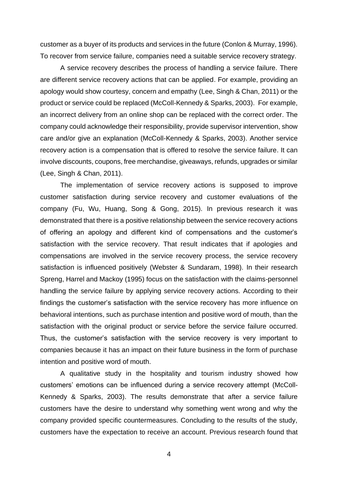customer as a buyer of its products and services in the future (Conlon & Murray, 1996). To recover from service failure, companies need a suitable service recovery strategy.

A service recovery describes the process of handling a service failure. There are different service recovery actions that can be applied. For example, providing an apology would show courtesy, concern and empathy (Lee, Singh & Chan, 2011) or the product or service could be replaced (McColl-Kennedy & Sparks, 2003). For example, an incorrect delivery from an online shop can be replaced with the correct order. The company could acknowledge their responsibility, provide supervisor intervention, show care and/or give an explanation (McColl-Kennedy & Sparks, 2003). Another service recovery action is a compensation that is offered to resolve the service failure. It can involve discounts, coupons, free merchandise, giveaways, refunds, upgrades or similar (Lee, Singh & Chan, 2011).

The implementation of service recovery actions is supposed to improve customer satisfaction during service recovery and customer evaluations of the company (Fu, Wu, Huang, Song & Gong, 2015). In previous research it was demonstrated that there is a positive relationship between the service recovery actions of offering an apology and different kind of compensations and the customer's satisfaction with the service recovery. That result indicates that if apologies and compensations are involved in the service recovery process, the service recovery satisfaction is influenced positively (Webster & Sundaram, 1998). In their research Spreng, Harrel and Mackoy (1995) focus on the satisfaction with the claims-personnel handling the service failure by applying service recovery actions. According to their findings the customer's satisfaction with the service recovery has more influence on behavioral intentions, such as purchase intention and positive word of mouth, than the satisfaction with the original product or service before the service failure occurred. Thus, the customer's satisfaction with the service recovery is very important to companies because it has an impact on their future business in the form of purchase intention and positive word of mouth.

A qualitative study in the hospitality and tourism industry showed how customers' emotions can be influenced during a service recovery attempt (McColl-Kennedy & Sparks, 2003). The results demonstrate that after a service failure customers have the desire to understand why something went wrong and why the company provided specific countermeasures. Concluding to the results of the study, customers have the expectation to receive an account. Previous research found that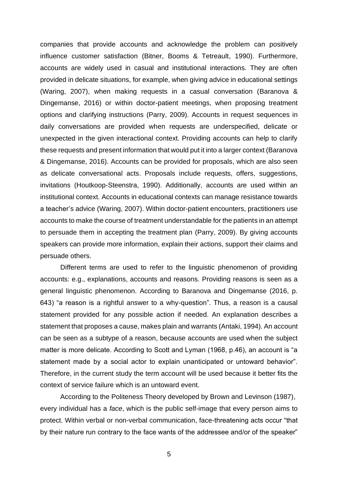companies that provide accounts and acknowledge the problem can positively influence customer satisfaction (Bitner, Booms & Tetreault, 1990). Furthermore, accounts are widely used in casual and institutional interactions. They are often provided in delicate situations, for example, when giving advice in educational settings (Waring, 2007), when making requests in a casual conversation (Baranova & Dingemanse, 2016) or within doctor-patient meetings, when proposing treatment options and clarifying instructions (Parry, 2009). Accounts in request sequences in daily conversations are provided when requests are underspecified, delicate or unexpected in the given interactional context. Providing accounts can help to clarify these requests and present information that would put it into a larger context (Baranova & Dingemanse, 2016). Accounts can be provided for proposals, which are also seen as delicate conversational acts. Proposals include requests, offers, suggestions, invitations (Houtkoop-Steenstra, 1990). Additionally, accounts are used within an institutional context. Accounts in educational contexts can manage resistance towards a teacher's advice (Waring, 2007). Within doctor-patient encounters, practitioners use accounts to make the course of treatment understandable for the patients in an attempt to persuade them in accepting the treatment plan (Parry, 2009). By giving accounts speakers can provide more information, explain their actions, support their claims and persuade others.

Different terms are used to refer to the linguistic phenomenon of providing accounts: e.g., explanations, accounts and reasons. Providing reasons is seen as a general linguistic phenomenon. According to Baranova and Dingemanse (2016, p. 643) "a reason is a rightful answer to a why-question". Thus, a reason is a causal statement provided for any possible action if needed. An explanation describes a statement that proposes a cause, makes plain and warrants (Antaki, 1994). An account can be seen as a subtype of a reason, because accounts are used when the subject matter is more delicate. According to Scott and Lyman (1968, p.46), an account is "a statement made by a social actor to explain unanticipated or untoward behavior". Therefore, in the current study the term account will be used because it better fits the context of service failure which is an untoward event.

According to the Politeness Theory developed by Brown and Levinson (1987), every individual has a *face*, which is the public self-image that every person aims to protect. Within verbal or non-verbal communication, face-threatening acts occur "that by their nature run contrary to the face wants of the addressee and/or of the speaker"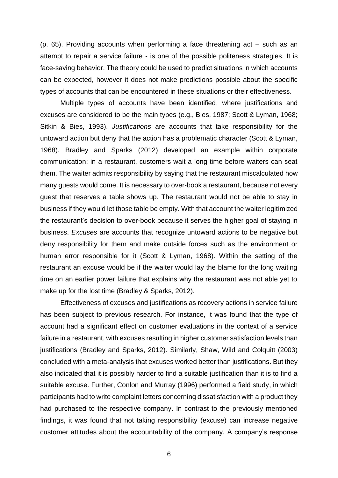(p. 65). Providing accounts when performing a face threatening act – such as an attempt to repair a service failure - is one of the possible politeness strategies. It is face-saving behavior. The theory could be used to predict situations in which accounts can be expected, however it does not make predictions possible about the specific types of accounts that can be encountered in these situations or their effectiveness.

Multiple types of accounts have been identified, where justifications and excuses are considered to be the main types (e.g., Bies, 1987; Scott & Lyman, 1968; Sitkin & Bies, 1993). *Justifications* are accounts that take responsibility for the untoward action but deny that the action has a problematic character (Scott & Lyman, 1968). Bradley and Sparks (2012) developed an example within corporate communication: in a restaurant, customers wait a long time before waiters can seat them. The waiter admits responsibility by saying that the restaurant miscalculated how many guests would come. It is necessary to over-book a restaurant, because not every guest that reserves a table shows up. The restaurant would not be able to stay in business if they would let those table be empty. With that account the waiter legitimized the restaurant's decision to over-book because it serves the higher goal of staying in business. *Excuses* are accounts that recognize untoward actions to be negative but deny responsibility for them and make outside forces such as the environment or human error responsible for it (Scott & Lyman, 1968). Within the setting of the restaurant an excuse would be if the waiter would lay the blame for the long waiting time on an earlier power failure that explains why the restaurant was not able yet to make up for the lost time (Bradley & Sparks, 2012).

Effectiveness of excuses and justifications as recovery actions in service failure has been subject to previous research. For instance, it was found that the type of account had a significant effect on customer evaluations in the context of a service failure in a restaurant, with excuses resulting in higher customer satisfaction levels than justifications (Bradley and Sparks, 2012). Similarly, Shaw, Wild and Colquitt (2003) concluded with a meta-analysis that excuses worked better than justifications. But they also indicated that it is possibly harder to find a suitable justification than it is to find a suitable excuse. Further, Conlon and Murray (1996) performed a field study, in which participants had to write complaint letters concerning dissatisfaction with a product they had purchased to the respective company. In contrast to the previously mentioned findings, it was found that not taking responsibility (excuse) can increase negative customer attitudes about the accountability of the company. A company's response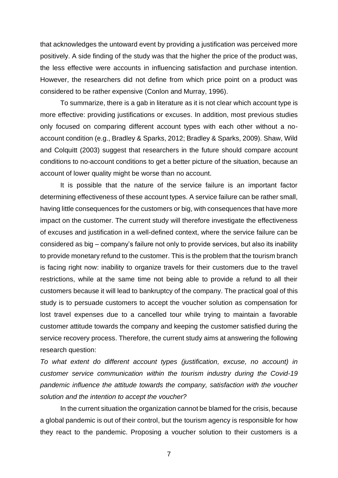that acknowledges the untoward event by providing a justification was perceived more positively. A side finding of the study was that the higher the price of the product was, the less effective were accounts in influencing satisfaction and purchase intention. However, the researchers did not define from which price point on a product was considered to be rather expensive (Conlon and Murray, 1996).

To summarize, there is a gab in literature as it is not clear which account type is more effective: providing justifications or excuses. In addition, most previous studies only focused on comparing different account types with each other without a noaccount condition (e.g., Bradley & Sparks, 2012; Bradley & Sparks, 2009). Shaw, Wild and Colquitt (2003) suggest that researchers in the future should compare account conditions to no-account conditions to get a better picture of the situation, because an account of lower quality might be worse than no account.

It is possible that the nature of the service failure is an important factor determining effectiveness of these account types. A service failure can be rather small, having little consequences for the customers or big, with consequences that have more impact on the customer. The current study will therefore investigate the effectiveness of excuses and justification in a well-defined context, where the service failure can be considered as big – company's failure not only to provide services, but also its inability to provide monetary refund to the customer. This is the problem that the tourism branch is facing right now: inability to organize travels for their customers due to the travel restrictions, while at the same time not being able to provide a refund to all their customers because it will lead to bankruptcy of the company. The practical goal of this study is to persuade customers to accept the voucher solution as compensation for lost travel expenses due to a cancelled tour while trying to maintain a favorable customer attitude towards the company and keeping the customer satisfied during the service recovery process. Therefore, the current study aims at answering the following research question:

*To what extent do different account types (justification, excuse, no account) in customer service communication within the tourism industry during the Covid-19 pandemic influence the attitude towards the company, satisfaction with the voucher solution and the intention to accept the voucher?* 

In the current situation the organization cannot be blamed for the crisis, because a global pandemic is out of their control, but the tourism agency is responsible for how they react to the pandemic. Proposing a voucher solution to their customers is a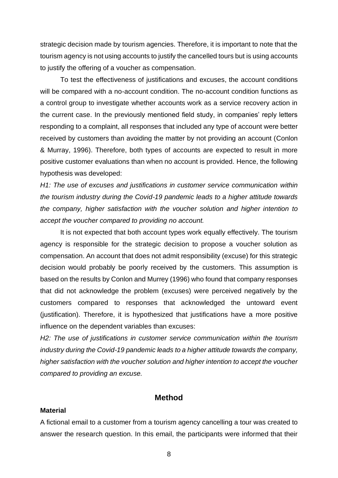strategic decision made by tourism agencies. Therefore, it is important to note that the tourism agency is not using accounts to justify the cancelled tours but is using accounts to justify the offering of a voucher as compensation.

To test the effectiveness of justifications and excuses, the account conditions will be compared with a no-account condition. The no-account condition functions as a control group to investigate whether accounts work as a service recovery action in the current case. In the previously mentioned field study, in companies' reply letters responding to a complaint, all responses that included any type of account were better received by customers than avoiding the matter by not providing an account (Conlon & Murray, 1996). Therefore, both types of accounts are expected to result in more positive customer evaluations than when no account is provided. Hence, the following hypothesis was developed:

*H1: The use of excuses and justifications in customer service communication within the tourism industry during the Covid-19 pandemic leads to a higher attitude towards the company, higher satisfaction with the voucher solution and higher intention to accept the voucher compared to providing no account.* 

It is not expected that both account types work equally effectively. The tourism agency is responsible for the strategic decision to propose a voucher solution as compensation. An account that does not admit responsibility (excuse) for this strategic decision would probably be poorly received by the customers. This assumption is based on the results by Conlon and Murrey (1996) who found that company responses that did not acknowledge the problem (excuses) were perceived negatively by the customers compared to responses that acknowledged the untoward event (justification). Therefore, it is hypothesized that justifications have a more positive influence on the dependent variables than excuses:

*H2: The use of justifications in customer service communication within the tourism industry during the Covid-19 pandemic leads to a higher attitude towards the company, higher satisfaction with the voucher solution and higher intention to accept the voucher compared to providing an excuse.* 

# **Method**

#### **Material**

A fictional email to a customer from a tourism agency cancelling a tour was created to answer the research question. In this email, the participants were informed that their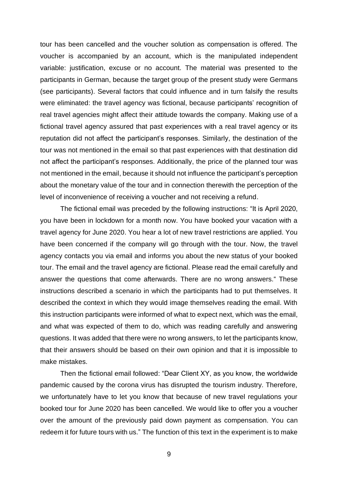tour has been cancelled and the voucher solution as compensation is offered. The voucher is accompanied by an account, which is the manipulated independent variable: justification, excuse or no account. The material was presented to the participants in German, because the target group of the present study were Germans (see participants). Several factors that could influence and in turn falsify the results were eliminated: the travel agency was fictional, because participants' recognition of real travel agencies might affect their attitude towards the company. Making use of a fictional travel agency assured that past experiences with a real travel agency or its reputation did not affect the participant's responses. Similarly, the destination of the tour was not mentioned in the email so that past experiences with that destination did not affect the participant's responses. Additionally, the price of the planned tour was not mentioned in the email, because it should not influence the participant's perception about the monetary value of the tour and in connection therewith the perception of the level of inconvenience of receiving a voucher and not receiving a refund.

The fictional email was preceded by the following instructions: "It is April 2020, you have been in lockdown for a month now. You have booked your vacation with a travel agency for June 2020. You hear a lot of new travel restrictions are applied. You have been concerned if the company will go through with the tour. Now, the travel agency contacts you via email and informs you about the new status of your booked tour. The email and the travel agency are fictional. Please read the email carefully and answer the questions that come afterwards. There are no wrong answers." These instructions described a scenario in which the participants had to put themselves. It described the context in which they would image themselves reading the email. With this instruction participants were informed of what to expect next, which was the email, and what was expected of them to do, which was reading carefully and answering questions. It was added that there were no wrong answers, to let the participants know, that their answers should be based on their own opinion and that it is impossible to make mistakes.

Then the fictional email followed: "Dear Client XY, as you know, the worldwide pandemic caused by the corona virus has disrupted the tourism industry. Therefore, we unfortunately have to let you know that because of new travel regulations your booked tour for June 2020 has been cancelled. We would like to offer you a voucher over the amount of the previously paid down payment as compensation. You can redeem it for future tours with us." The function of this text in the experiment is to make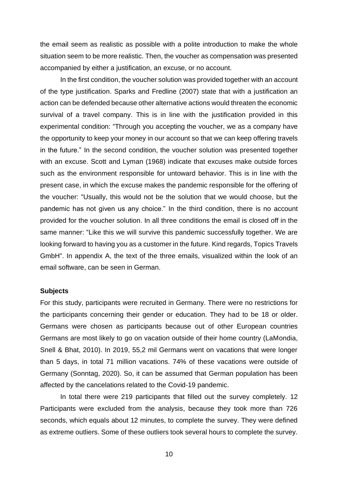the email seem as realistic as possible with a polite introduction to make the whole situation seem to be more realistic. Then, the voucher as compensation was presented accompanied by either a justification, an excuse, or no account.

In the first condition, the voucher solution was provided together with an account of the type justification. Sparks and Fredline (2007) state that with a justification an action can be defended because other alternative actions would threaten the economic survival of a travel company. This is in line with the justification provided in this experimental condition: "Through you accepting the voucher, we as a company have the opportunity to keep your money in our account so that we can keep offering travels in the future." In the second condition, the voucher solution was presented together with an excuse. Scott and Lyman (1968) indicate that excuses make outside forces such as the environment responsible for untoward behavior. This is in line with the present case, in which the excuse makes the pandemic responsible for the offering of the voucher: "Usually, this would not be the solution that we would choose, but the pandemic has not given us any choice." In the third condition, there is no account provided for the voucher solution. In all three conditions the email is closed off in the same manner: "Like this we will survive this pandemic successfully together. We are looking forward to having you as a customer in the future. Kind regards, Topics Travels GmbH". In appendix A, the text of the three emails, visualized within the look of an email software, can be seen in German.

#### **Subjects**

For this study, participants were recruited in Germany. There were no restrictions for the participants concerning their gender or education. They had to be 18 or older. Germans were chosen as participants because out of other European countries Germans are most likely to go on vacation outside of their home country (LaMondia, Snell & Bhat, 2010). In 2019, 55,2 mil Germans went on vacations that were longer than 5 days, in total 71 million vacations. 74% of these vacations were outside of Germany (Sonntag, 2020). So, it can be assumed that German population has been affected by the cancelations related to the Covid-19 pandemic.

In total there were 219 participants that filled out the survey completely. 12 Participants were excluded from the analysis, because they took more than 726 seconds, which equals about 12 minutes, to complete the survey. They were defined as extreme outliers. Some of these outliers took several hours to complete the survey.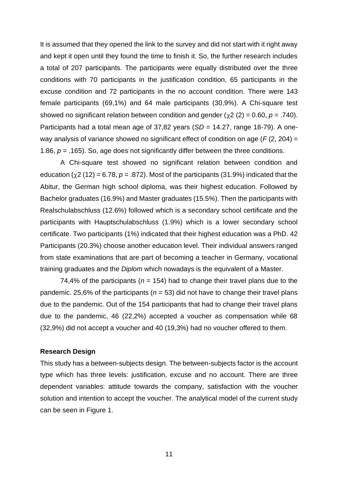It is assumed that they opened the link to the survey and did not start with it right away and kept it open until they found the time to finish it. So, the further research includes a total of 207 participants. The participants were equally distributed over the three conditions with 70 participants in the justification condition, 65 participants in the excuse condition and 72 participants in the no account condition. There were 143 female participants (69,1%) and 64 male participants (30,9%). A Chi-square test showed no significant relation between condition and gender  $(\chi^2)(2) = 0.60$ ,  $p = .740$ ). Participants had a total mean age of 37,82 years (*SD* = 14.27, range 18-79). A oneway analysis of variance showed no significant effect of condition on age (*F* (2, 204) = 1.86,  $p = .165$ ). So, age does not significantly differ between the three conditions.

A Chi-square test showed no significant relation between condition and education ( $\chi$ 2 (12) = 6.78,  $p = .872$ ). Most of the participants (31.9%) indicated that the Abitur, the German high school diploma, was their highest education. Followed by Bachelor graduates (16.9%) and Master graduates (15.5%). Then the participants with Realschulabschluss (12.6%) followed which is a secondary school certificate and the participants with Hauptschulabschluss (1.9%) which is a lower secondary school certificate. Two participants (1%) indicated that their highest education was a PhD. 42 Participants (20.3%) choose another education level. Their individual answers ranged from state examinations that are part of becoming a teacher in Germany, vocational training graduates and the *Diplom* which nowadays is the equivalent of a Master.

74,4% of the participants ( $n = 154$ ) had to change their travel plans due to the pandemic. 25,6% of the participants (*n* = 53) did not have to change their travel plans due to the pandemic. Out of the 154 participants that had to change their travel plans due to the pandemic, 46 (22,2%) accepted a voucher as compensation while 68 (32,9%) did not accept a voucher and 40 (19,3%) had no voucher offered to them.

#### **Research Design**

This study has a between-subjects design. The between-subjects factor is the account type which has three levels: justification, excuse and no account. There are three dependent variables: attitude towards the company, satisfaction with the voucher solution and intention to accept the voucher. The analytical model of the current study can be seen in Figure 1.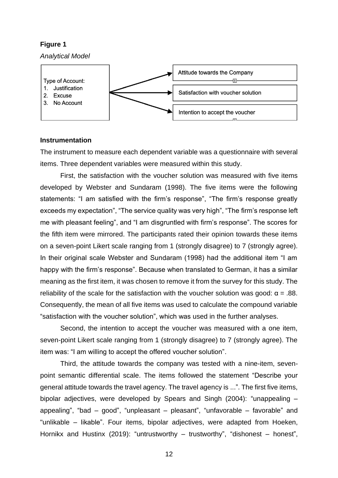#### **Figure 1**

*Analytical Model*



#### **Instrumentation**

The instrument to measure each dependent variable was a questionnaire with several items. Three dependent variables were measured within this study.

First, the satisfaction with the voucher solution was measured with five items developed by Webster and Sundaram (1998). The five items were the following statements: "I am satisfied with the firm's response", "The firm's response greatly exceeds my expectation", "The service quality was very high", "The firm's response left me with pleasant feeling", and "I am disgruntled with firm's response". The scores for the fifth item were mirrored. The participants rated their opinion towards these items on a seven-point Likert scale ranging from 1 (strongly disagree) to 7 (strongly agree). In their original scale Webster and Sundaram (1998) had the additional item "I am happy with the firm's response". Because when translated to German, it has a similar meaning as the first item, it was chosen to remove it from the survey for this study. The reliability of the scale for the satisfaction with the voucher solution was good:  $\alpha = .88$ . Consequently, the mean of all five items was used to calculate the compound variable "satisfaction with the voucher solution", which was used in the further analyses.

Second, the intention to accept the voucher was measured with a one item, seven-point Likert scale ranging from 1 (strongly disagree) to 7 (strongly agree). The item was: "I am willing to accept the offered voucher solution".

Third, the attitude towards the company was tested with a nine-item, sevenpoint semantic differential scale. The items followed the statement "Describe your general attitude towards the travel agency. The travel agency is ...". The first five items, bipolar adjectives, were developed by Spears and Singh (2004): "unappealing – appealing", "bad  $-$  good", "unpleasant  $-$  pleasant", "unfavorable  $-$  favorable" and "unlikable – likable". Four items, bipolar adjectives, were adapted from Hoeken, Hornikx and Hustinx (2019): "untrustworthy – trustworthy", "dishonest – honest",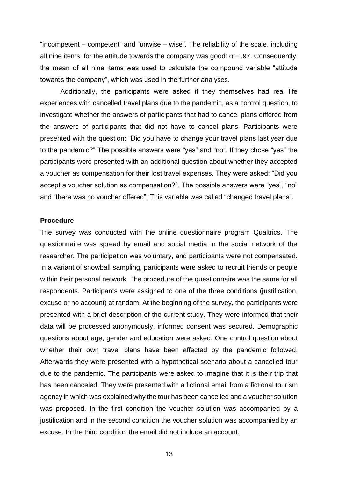"incompetent – competent" and "unwise – wise". The reliability of the scale, including all nine items, for the attitude towards the company was good:  $\alpha$  = .97. Consequently, the mean of all nine items was used to calculate the compound variable "attitude towards the company", which was used in the further analyses.

Additionally, the participants were asked if they themselves had real life experiences with cancelled travel plans due to the pandemic, as a control question, to investigate whether the answers of participants that had to cancel plans differed from the answers of participants that did not have to cancel plans. Participants were presented with the question: "Did you have to change your travel plans last year due to the pandemic?" The possible answers were "yes" and "no". If they chose "yes" the participants were presented with an additional question about whether they accepted a voucher as compensation for their lost travel expenses. They were asked: "Did you accept a voucher solution as compensation?". The possible answers were "yes", "no" and "there was no voucher offered". This variable was called "changed travel plans".

#### **Procedure**

The survey was conducted with the online questionnaire program Qualtrics. The questionnaire was spread by email and social media in the social network of the researcher. The participation was voluntary, and participants were not compensated. In a variant of snowball sampling, participants were asked to recruit friends or people within their personal network. The procedure of the questionnaire was the same for all respondents. Participants were assigned to one of the three conditions (justification, excuse or no account) at random. At the beginning of the survey, the participants were presented with a brief description of the current study. They were informed that their data will be processed anonymously, informed consent was secured. Demographic questions about age, gender and education were asked. One control question about whether their own travel plans have been affected by the pandemic followed. Afterwards they were presented with a hypothetical scenario about a cancelled tour due to the pandemic. The participants were asked to imagine that it is their trip that has been canceled. They were presented with a fictional email from a fictional tourism agency in which was explained why the tour has been cancelled and a voucher solution was proposed. In the first condition the voucher solution was accompanied by a justification and in the second condition the voucher solution was accompanied by an excuse. In the third condition the email did not include an account.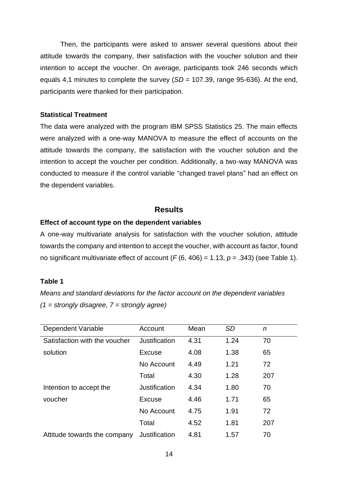Then, the participants were asked to answer several questions about their attitude towards the company, their satisfaction with the voucher solution and their intention to accept the voucher. On average, participants took 246 seconds which equals 4,1 minutes to complete the survey (*SD* = 107.39, range 95-636). At the end, participants were thanked for their participation.

#### **Statistical Treatment**

The data were analyzed with the program IBM SPSS Statistics 25. The main effects were analyzed with a one-way MANOVA to measure the effect of accounts on the attitude towards the company, the satisfaction with the voucher solution and the intention to accept the voucher per condition. Additionally, a two-way MANOVA was conducted to measure if the control variable "changed travel plans" had an effect on the dependent variables.

# **Results**

#### **Effect of account type on the dependent variables**

A one-way multivariate analysis for satisfaction with the voucher solution, attitude towards the company and intention to accept the voucher, with account as factor, found no significant multivariate effect of account  $(F(6, 406) = 1.13, p = .343)$  (see Table 1).

#### **Table 1**

*Means and standard deviations for the factor account on the dependent variables (1 = strongly disagree, 7 = strongly agree)*

| Dependent Variable            | Account       | Mean | <b>SD</b> | n   |
|-------------------------------|---------------|------|-----------|-----|
| Satisfaction with the voucher | Justification | 4.31 | 1.24      | 70  |
| solution                      | <b>Excuse</b> | 4.08 | 1.38      | 65  |
|                               | No Account    | 4.49 | 1.21      | 72  |
|                               | Total         | 4.30 | 1.28      | 207 |
| Intention to accept the       | Justification | 4.34 | 1.80      | 70  |
| voucher                       | <b>Excuse</b> | 4.46 | 1.71      | 65  |
|                               | No Account    | 4.75 | 1.91      | 72  |
|                               | Total         | 4.52 | 1.81      | 207 |
| Attitude towards the company  | Justification | 4.81 | 1.57      | 70  |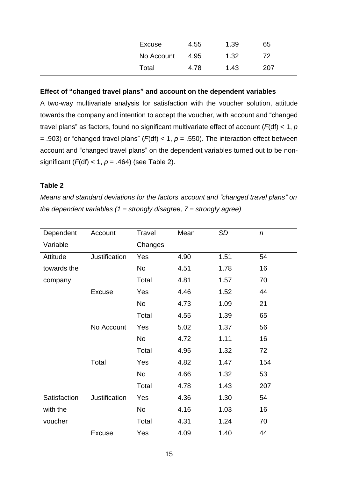| Excuse          | 4.55 | 1.39 | 65  |
|-----------------|------|------|-----|
| No Account 4.95 |      | 1.32 | 72  |
| Total           | 4.78 | 1.43 | 207 |

#### **Effect of "changed travel plans" and account on the dependent variables**

A two-way multivariate analysis for satisfaction with the voucher solution, attitude towards the company and intention to accept the voucher, with account and "changed travel plans" as factors, found no significant multivariate effect of account (*F*(df) < 1, *p* = .903) or "changed travel plans" ( $F(dt)$  < 1,  $p$  = .550). The interaction effect between account and "changed travel plans" on the dependent variables turned out to be nonsignificant (*F*(df) < 1, *p* = .464) (see Table 2).

#### **Table 2**

*Means and standard deviations for the factors account and "changed travel plans" on the dependent variables (1 = strongly disagree, 7 = strongly agree)*

| Dependent    | Account              | Travel  | Mean | <b>SD</b> | $\boldsymbol{n}$ |
|--------------|----------------------|---------|------|-----------|------------------|
| Variable     |                      | Changes |      |           |                  |
| Attitude     | <b>Justification</b> | Yes     | 4.90 | 1.51      | 54               |
| towards the  |                      | No      | 4.51 | 1.78      | 16               |
| company      |                      | Total   | 4.81 | 1.57      | 70               |
|              | <b>Excuse</b>        | Yes     | 4.46 | 1.52      | 44               |
|              |                      | No      | 4.73 | 1.09      | 21               |
|              |                      | Total   | 4.55 | 1.39      | 65               |
|              | No Account           | Yes     | 5.02 | 1.37      | 56               |
|              |                      | No      | 4.72 | 1.11      | 16               |
|              |                      | Total   | 4.95 | 1.32      | 72               |
|              | Total                | Yes     | 4.82 | 1.47      | 154              |
|              |                      | No      | 4.66 | 1.32      | 53               |
|              |                      | Total   | 4.78 | 1.43      | 207              |
| Satisfaction | Justification        | Yes     | 4.36 | 1.30      | 54               |
| with the     |                      | No      | 4.16 | 1.03      | 16               |
| voucher      |                      | Total   | 4.31 | 1.24      | 70               |
|              | <b>Excuse</b>        | Yes     | 4.09 | 1.40      | 44               |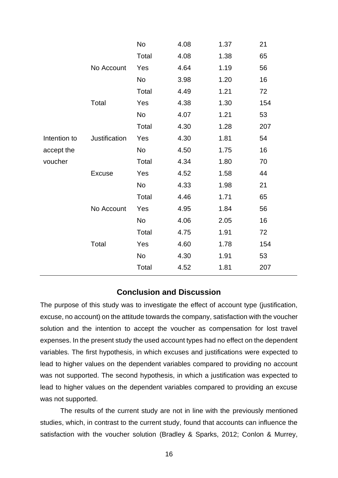|              |               | No        | 4.08 | 1.37 | 21  |
|--------------|---------------|-----------|------|------|-----|
|              |               | Total     | 4.08 | 1.38 | 65  |
|              | No Account    | Yes       | 4.64 | 1.19 | 56  |
|              |               | <b>No</b> | 3.98 | 1.20 | 16  |
|              |               | Total     | 4.49 | 1.21 | 72  |
|              | Total         | Yes       | 4.38 | 1.30 | 154 |
|              |               | No        | 4.07 | 1.21 | 53  |
|              |               | Total     | 4.30 | 1.28 | 207 |
| Intention to | Justification | Yes       | 4.30 | 1.81 | 54  |
| accept the   |               | No        | 4.50 | 1.75 | 16  |
| voucher      |               | Total     | 4.34 | 1.80 | 70  |
|              | <b>Excuse</b> | Yes       | 4.52 | 1.58 | 44  |
|              |               | No        | 4.33 | 1.98 | 21  |
|              |               | Total     | 4.46 | 1.71 | 65  |
|              | No Account    | Yes       | 4.95 | 1.84 | 56  |
|              |               | No        | 4.06 | 2.05 | 16  |
|              |               | Total     | 4.75 | 1.91 | 72  |
|              | Total         | Yes       | 4.60 | 1.78 | 154 |
|              |               | No        | 4.30 | 1.91 | 53  |
|              |               | Total     | 4.52 | 1.81 | 207 |

# **Conclusion and Discussion**

The purpose of this study was to investigate the effect of account type (justification, excuse, no account) on the attitude towards the company, satisfaction with the voucher solution and the intention to accept the voucher as compensation for lost travel expenses. In the present study the used account types had no effect on the dependent variables. The first hypothesis, in which excuses and justifications were expected to lead to higher values on the dependent variables compared to providing no account was not supported. The second hypothesis, in which a justification was expected to lead to higher values on the dependent variables compared to providing an excuse was not supported.

The results of the current study are not in line with the previously mentioned studies, which, in contrast to the current study, found that accounts can influence the satisfaction with the voucher solution (Bradley & Sparks, 2012; Conlon & Murrey,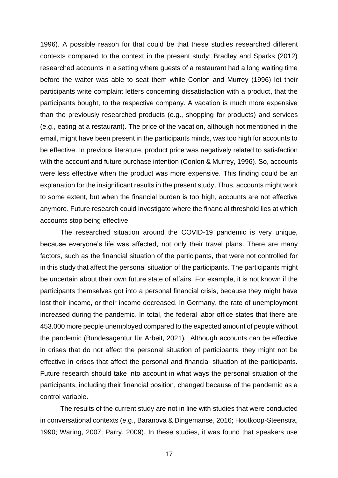1996). A possible reason for that could be that these studies researched different contexts compared to the context in the present study: Bradley and Sparks (2012) researched accounts in a setting where guests of a restaurant had a long waiting time before the waiter was able to seat them while Conlon and Murrey (1996) let their participants write complaint letters concerning dissatisfaction with a product, that the participants bought, to the respective company. A vacation is much more expensive than the previously researched products (e.g., shopping for products) and services (e.g., eating at a restaurant). The price of the vacation, although not mentioned in the email, might have been present in the participants minds, was too high for accounts to be effective. In previous literature, product price was negatively related to satisfaction with the account and future purchase intention (Conlon & Murrey, 1996). So, accounts were less effective when the product was more expensive. This finding could be an explanation for the insignificant results in the present study. Thus, accounts might work to some extent, but when the financial burden is too high, accounts are not effective anymore. Future research could investigate where the financial threshold lies at which accounts stop being effective.

The researched situation around the COVID-19 pandemic is very unique, because everyone's life was affected, not only their travel plans. There are many factors, such as the financial situation of the participants, that were not controlled for in this study that affect the personal situation of the participants. The participants might be uncertain about their own future state of affairs. For example, it is not known if the participants themselves got into a personal financial crisis, because they might have lost their income, or their income decreased. In Germany, the rate of unemployment increased during the pandemic. In total, the federal labor office states that there are 453.000 more people unemployed compared to the expected amount of people without the pandemic (Bundesagentur für Arbeit, 2021). Although accounts can be effective in crises that do not affect the personal situation of participants, they might not be effective in crises that affect the personal and financial situation of the participants. Future research should take into account in what ways the personal situation of the participants, including their financial position, changed because of the pandemic as a control variable.

The results of the current study are not in line with studies that were conducted in conversational contexts (e.g., Baranova & Dingemanse, 2016; Houtkoop-Steenstra, 1990; Waring, 2007; Parry, 2009). In these studies, it was found that speakers use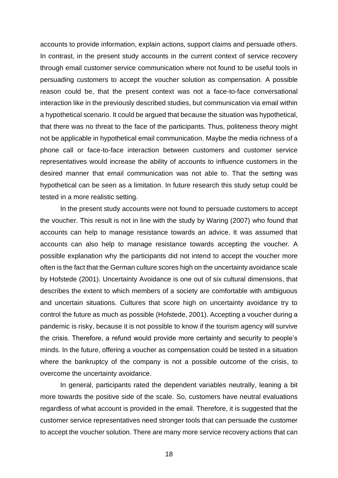accounts to provide information, explain actions, support claims and persuade others. In contrast, in the present study accounts in the current context of service recovery through email customer service communication where not found to be useful tools in persuading customers to accept the voucher solution as compensation. A possible reason could be, that the present context was not a face-to-face conversational interaction like in the previously described studies, but communication via email within a hypothetical scenario. It could be argued that because the situation was hypothetical, that there was no threat to the face of the participants. Thus, politeness theory might not be applicable in hypothetical email communication. Maybe the media richness of a phone call or face-to-face interaction between customers and customer service representatives would increase the ability of accounts to influence customers in the desired manner that email communication was not able to. That the setting was hypothetical can be seen as a limitation. In future research this study setup could be tested in a more realistic setting.

In the present study accounts were not found to persuade customers to accept the voucher. This result is not in line with the study by Waring (2007) who found that accounts can help to manage resistance towards an advice. It was assumed that accounts can also help to manage resistance towards accepting the voucher. A possible explanation why the participants did not intend to accept the voucher more often is the fact that the German culture scores high on the uncertainty avoidance scale by Hofstede (2001). Uncertainty Avoidance is one out of six cultural dimensions, that describes the extent to which members of a society are comfortable with ambiguous and uncertain situations. Cultures that score high on uncertainty avoidance try to control the future as much as possible (Hofstede, 2001). Accepting a voucher during a pandemic is risky, because it is not possible to know if the tourism agency will survive the crisis. Therefore, a refund would provide more certainty and security to people's minds. In the future, offering a voucher as compensation could be tested in a situation where the bankruptcy of the company is not a possible outcome of the crisis, to overcome the uncertainty avoidance.

In general, participants rated the dependent variables neutrally, leaning a bit more towards the positive side of the scale. So, customers have neutral evaluations regardless of what account is provided in the email. Therefore, it is suggested that the customer service representatives need stronger tools that can persuade the customer to accept the voucher solution. There are many more service recovery actions that can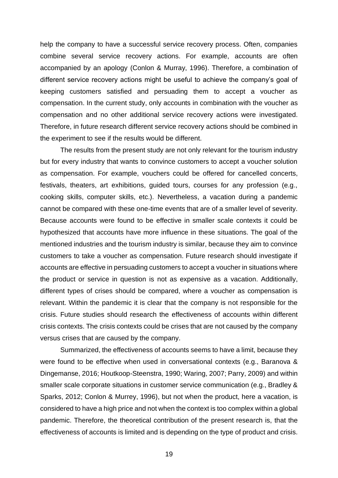help the company to have a successful service recovery process. Often, companies combine several service recovery actions. For example, accounts are often accompanied by an apology (Conlon & Murray, 1996). Therefore, a combination of different service recovery actions might be useful to achieve the company's goal of keeping customers satisfied and persuading them to accept a voucher as compensation. In the current study, only accounts in combination with the voucher as compensation and no other additional service recovery actions were investigated. Therefore, in future research different service recovery actions should be combined in the experiment to see if the results would be different.

The results from the present study are not only relevant for the tourism industry but for every industry that wants to convince customers to accept a voucher solution as compensation. For example, vouchers could be offered for cancelled concerts, festivals, theaters, art exhibitions, guided tours, courses for any profession (e.g., cooking skills, computer skills, etc.). Nevertheless, a vacation during a pandemic cannot be compared with these one-time events that are of a smaller level of severity. Because accounts were found to be effective in smaller scale contexts it could be hypothesized that accounts have more influence in these situations. The goal of the mentioned industries and the tourism industry is similar, because they aim to convince customers to take a voucher as compensation. Future research should investigate if accounts are effective in persuading customers to accept a voucher in situations where the product or service in question is not as expensive as a vacation. Additionally, different types of crises should be compared, where a voucher as compensation is relevant. Within the pandemic it is clear that the company is not responsible for the crisis. Future studies should research the effectiveness of accounts within different crisis contexts. The crisis contexts could be crises that are not caused by the company versus crises that are caused by the company.

Summarized, the effectiveness of accounts seems to have a limit, because they were found to be effective when used in conversational contexts (e.g., Baranova & Dingemanse, 2016; Houtkoop-Steenstra, 1990; Waring, 2007; Parry, 2009) and within smaller scale corporate situations in customer service communication (e.g., Bradley & Sparks, 2012; Conlon & Murrey, 1996), but not when the product, here a vacation, is considered to have a high price and not when the context is too complex within a global pandemic. Therefore, the theoretical contribution of the present research is, that the effectiveness of accounts is limited and is depending on the type of product and crisis.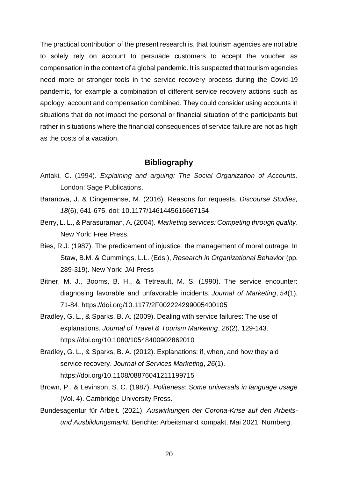The practical contribution of the present research is, that tourism agencies are not able to solely rely on account to persuade customers to accept the voucher as compensation in the context of a global pandemic. It is suspected that tourism agencies need more or stronger tools in the service recovery process during the Covid-19 pandemic, for example a combination of different service recovery actions such as apology, account and compensation combined. They could consider using accounts in situations that do not impact the personal or financial situation of the participants but rather in situations where the financial consequences of service failure are not as high as the costs of a vacation.

#### **Bibliography**

- Antaki, C. (1994). *Explaining and arguing: The Social Organization of Accounts.*  London: Sage Publications.
- Baranova, J. & Dingemanse, M. (2016). Reasons for requests. *Discourse Studies, 18*(6), 641-675. doi: 10.1177/1461445616667154
- Berry, L. L., & Parasuraman, A. (2004). *Marketing services: Competing through quality*. New York: Free Press.
- Bies, R.J. (1987). The predicament of injustice: the management of moral outrage. In Staw, B.M. & Cummings, L.L. (Eds.), *Research in Organizational Behavior* (pp. 289-319). New York: JAI Press
- Bitner, M. J., Booms, B. H., & Tetreault, M. S. (1990). The service encounter: diagnosing favorable and unfavorable incidents. *Journal of Marketing*, *54*(1), 71-84. https://doi.org/10.1177/2F002224299005400105
- Bradley, G. L., & Sparks, B. A. (2009). Dealing with service failures: The use of explanations. *Journal of Travel & Tourism Marketing*, *26*(2), 129-143. https://doi.org/10.1080/10548400902862010
- Bradley, G. L., & Sparks, B. A. (2012). Explanations: if, when, and how they aid service recovery. *Journal of Services Marketing*, *26*(1). https://doi.org/10.1108/08876041211199715
- Brown, P., & Levinson, S. C. (1987). *Politeness: Some universals in language usage*  (Vol. 4). Cambridge University Press.
- Bundesagentur für Arbeit. (2021). *Auswirkungen der Corona-Krise auf den Arbeitsund Ausbildungsmarkt*. Berichte: Arbeitsmarkt kompakt, Mai 2021. Nürnberg.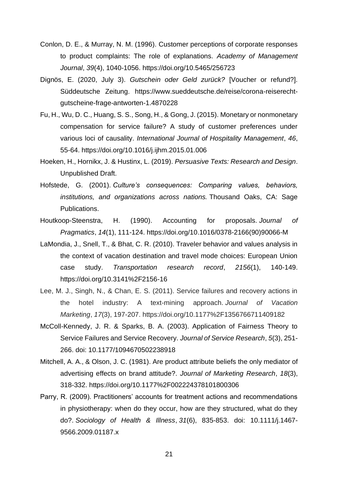- Conlon, D. E., & Murray, N. M. (1996). Customer perceptions of corporate responses to product complaints: The role of explanations. *Academy of Management Journal*, *39*(4), 1040-1056. https://doi.org/10.5465/256723
- Dignös, E. (2020, July 3). *Gutschein oder Geld zurück?* [Voucher or refund?]. Süddeutsche Zeitung. https://www.sueddeutsche.de/reise/corona-reiserechtgutscheine-frage-antworten-1.4870228
- Fu, H., Wu, D. C., Huang, S. S., Song, H., & Gong, J. (2015). Monetary or nonmonetary compensation for service failure? A study of customer preferences under various loci of causality. *International Journal of Hospitality Management*, *46*, 55-64. https://doi.org/10.1016/j.ijhm.2015.01.006
- Hoeken, H., Hornikx, J. & Hustinx, L. (2019). *Persuasive Texts: Research and Design*. Unpublished Draft.
- Hofstede, G. (2001). *Culture's consequences: Comparing values, behaviors, institutions, and organizations across nations.* Thousand Oaks, CA: Sage Publications.
- Houtkoop-Steenstra, H. (1990). Accounting for proposals. *Journal of Pragmatics*, *14*(1), 111-124. https://doi.org/10.1016/0378-2166(90)90066-M
- LaMondia, J., Snell, T., & Bhat, C. R. (2010). Traveler behavior and values analysis in the context of vacation destination and travel mode choices: European Union case study. *Transportation research record*, *2156*(1), 140-149. https://doi.org/10.3141%2F2156-16
- Lee, M. J., Singh, N., & Chan, E. S. (2011). Service failures and recovery actions in the hotel industry: A text-mining approach. *Journal of Vacation Marketing*, *17*(3), 197-207. https://doi.org/10.1177%2F1356766711409182
- McColl-Kennedy, J. R. & Sparks, B. A. (2003). Application of Fairness Theory to Service Failures and Service Recovery. *Journal of Service Research*, *5*(3), 251- 266. doi: 10.1177/1094670502238918
- Mitchell, A. A., & Olson, J. C. (1981). Are product attribute beliefs the only mediator of advertising effects on brand attitude?. *Journal of Marketing Research*, *18*(3), 318-332. https://doi.org/10.1177%2F002224378101800306
- Parry, R. (2009). Practitioners' accounts for treatment actions and recommendations in physiotherapy: when do they occur, how are they structured, what do they do?. *Sociology of Health & Illness*, *31*(6), 835-853. doi: 10.1111/j.1467- 9566.2009.01187.x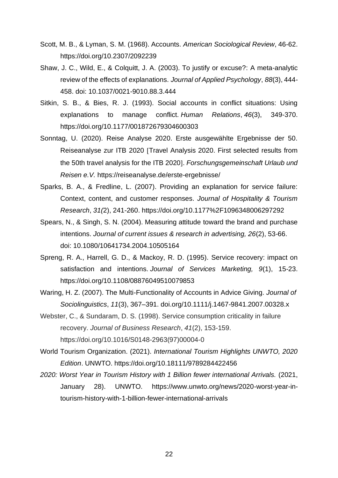- Scott, M. B., & Lyman, S. M. (1968). Accounts. *American Sociological Review*, 46-62. https://doi.org/10.2307/2092239
- Shaw, J. C., Wild, E., & Colquitt, J. A. (2003). To justify or excuse?: A meta-analytic review of the effects of explanations. *Journal of Applied Psychology*, *88*(3), 444- 458. doi: 10.1037/0021-9010.88.3.444
- Sitkin, S. B., & Bies, R. J. (1993). Social accounts in conflict situations: Using explanations to manage conflict. *Human Relations*, *46*(3), 349-370. https://doi.org/10.1177/001872679304600303
- Sonntag, U. (2020). Reise Analyse 2020. Erste ausgewählte Ergebnisse der 50. Reiseanalyse zur ITB 2020 [Travel Analysis 2020. First selected results from the 50th travel analysis for the ITB 2020. *Forschungsgemeinschaft Urlaub und Reisen e.V.* https://reiseanalyse.de/erste-ergebnisse/
- Sparks, B. A., & Fredline, L. (2007). Providing an explanation for service failure: Context, content, and customer responses. *Journal of Hospitality & Tourism Research*, *31(*2), 241-260. https://doi.org/10.1177%2F1096348006297292
- Spears, N., & Singh, S. N. (2004). Measuring attitude toward the brand and purchase intentions. *Journal of current issues & research in advertising, 26*(2), 53-66. doi: 10.1080/10641734.2004.10505164
- Spreng, R. A., Harrell, G. D., & Mackoy, R. D. (1995). Service recovery: impact on satisfaction and intentions. *Journal of Services Marketing, 9*(1), 15-23. https://doi.org/10.1108/08876049510079853

Waring, H. Z. (2007). The Multi-Functionality of Accounts in Advice Giving. *Journal of Sociolinguistics*, *11*(3), 367–391. doi.org/10.1111/j.1467-9841.2007.00328.x

- Webster, C., & Sundaram, D. S. (1998). Service consumption criticality in failure recovery. *Journal of Business Research*, *41*(2), 153-159. https://doi.org/10.1016/S0148-2963(97)00004-0
- World Tourism Organization. (2021). *International Tourism Highlights UNWTO, 2020 Edition*. UNWTO. https://doi.org/10.18111/9789284422456
- *2020: Worst Year in Tourism History with 1 Billion fewer international Arrivals.* (2021, January 28). UNWTO. https://www.unwto.org/news/2020-worst-year-intourism-history-with-1-billion-fewer-international-arrivals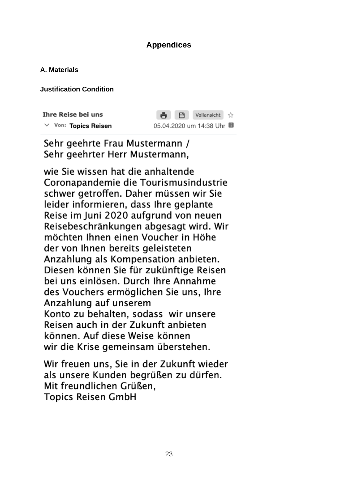# **Appendices**

# **A. Materials**

**Justification Condition**

| <b>Ihre Reise bei uns</b> | $\bullet$ $\theta$ | Vollansicht<br>$\uparrow$ |  |
|---------------------------|--------------------|---------------------------|--|
| $\vee$ Von: Topics Reisen |                    | 05.04.2020 um 14:38 Uhr   |  |

Sehr geehrte Frau Mustermann / Sehr geehrter Herr Mustermann,

wie Sie wissen hat die anhaltende Coronapandemie die Tourismusindustrie schwer getroffen. Daher müssen wir Sie leider informieren, dass Ihre geplante Reise im Juni 2020 aufgrund von neuen Reisebeschränkungen abgesagt wird. Wir möchten Ihnen einen Voucher in Höhe der von Ihnen bereits geleisteten Anzahlung als Kompensation anbieten. Diesen können Sie für zukünftige Reisen bei uns einlösen. Durch Ihre Annahme des Vouchers ermöglichen Sie uns, Ihre Anzahlung auf unserem Konto zu behalten, sodass wir unsere Reisen auch in der Zukunft anbieten können. Auf diese Weise können wir die Krise gemeinsam überstehen.

Wir freuen uns. Sie in der Zukunft wieder als unsere Kunden begrüßen zu dürfen. Mit freundlichen Grüßen, **Topics Reisen GmbH**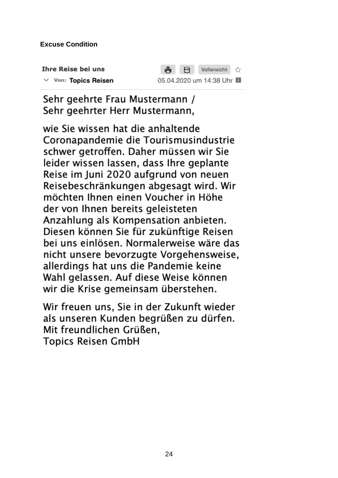## **Excuse Condition**

| <b>Ihre Reise bei uns</b> | ● B Vollansicht ☆       |
|---------------------------|-------------------------|
| $\vee$ Von: Topics Reisen | 05.04.2020 um 14:38 Uhr |

# Sehr geehrte Frau Mustermann / Sehr geehrter Herr Mustermann,

wie Sie wissen hat die anhaltende Coronapandemie die Tourismusindustrie schwer getroffen. Daher müssen wir Sie leider wissen lassen, dass Ihre geplante Reise im Juni 2020 aufgrund von neuen Reisebeschränkungen abgesagt wird. Wir möchten Ihnen einen Voucher in Höhe der von Ihnen bereits geleisteten Anzahlung als Kompensation anbieten. Diesen können Sie für zukünftige Reisen bei uns einlösen. Normalerweise wäre das nicht unsere bevorzugte Vorgehensweise, allerdings hat uns die Pandemie keine Wahl gelassen. Auf diese Weise können wir die Krise gemeinsam überstehen.

Wir freuen uns. Sie in der Zukunft wieder als unseren Kunden begrüßen zu dürfen. Mit freundlichen Grüßen. **Topics Reisen GmbH**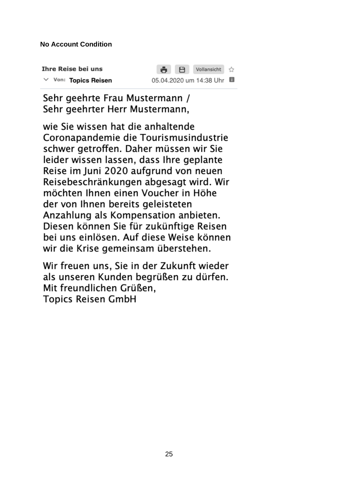# **No Account Condition**

| <b>Ihre Reise bei uns</b> | <b>● 日</b> Vollansicht ☆ |  |
|---------------------------|--------------------------|--|
| $\vee$ Von: Topics Reisen | 05.04.2020 um 14:38 Uhr  |  |

# Sehr geehrte Frau Mustermann / Sehr geehrter Herr Mustermann,

wie Sie wissen hat die anhaltende Coronapandemie die Tourismusindustrie schwer getroffen. Daher müssen wir Sie leider wissen lassen, dass Ihre geplante Reise im Juni 2020 aufgrund von neuen Reisebeschränkungen abgesagt wird. Wir möchten Ihnen einen Voucher in Höhe der von Ihnen bereits geleisteten Anzahlung als Kompensation anbieten. Diesen können Sie für zukünftige Reisen bei uns einlösen. Auf diese Weise können wir die Krise gemeinsam überstehen.

Wir freuen uns. Sie in der Zukunft wieder als unseren Kunden begrüßen zu dürfen. Mit freundlichen Grüßen. **Topics Reisen GmbH**